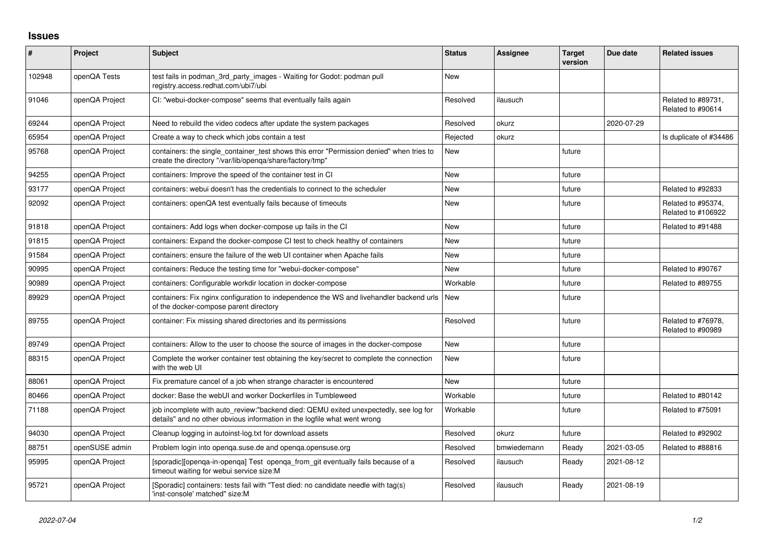## **Issues**

| $\pmb{\#}$ | <b>Project</b> | Subject                                                                                                                                                          | <b>Status</b> | Assignee    | <b>Target</b><br>version | Due date   | <b>Related issues</b>                    |
|------------|----------------|------------------------------------------------------------------------------------------------------------------------------------------------------------------|---------------|-------------|--------------------------|------------|------------------------------------------|
| 102948     | openQA Tests   | test fails in podman_3rd_party_images - Waiting for Godot: podman pull<br>registry.access.redhat.com/ubi7/ubi                                                    | <b>New</b>    |             |                          |            |                                          |
| 91046      | openQA Project | CI: "webui-docker-compose" seems that eventually fails again                                                                                                     | Resolved      | ilausuch    |                          |            | Related to #89731,<br>Related to #90614  |
| 69244      | openQA Project | Need to rebuild the video codecs after update the system packages                                                                                                | Resolved      | okurz       |                          | 2020-07-29 |                                          |
| 65954      | openQA Project | Create a way to check which jobs contain a test                                                                                                                  | Rejected      | okurz       |                          |            | Is duplicate of #34486                   |
| 95768      | openQA Project | containers: the single_container_test shows this error "Permission denied" when tries to<br>create the directory "/var/lib/openga/share/factory/tmp"             | <b>New</b>    |             | future                   |            |                                          |
| 94255      | openQA Project | containers: Improve the speed of the container test in CI                                                                                                        | <b>New</b>    |             | future                   |            |                                          |
| 93177      | openQA Project | containers: webui doesn't has the credentials to connect to the scheduler                                                                                        | <b>New</b>    |             | future                   |            | Related to #92833                        |
| 92092      | openQA Project | containers: openQA test eventually fails because of timeouts                                                                                                     | <b>New</b>    |             | future                   |            | Related to #95374,<br>Related to #106922 |
| 91818      | openQA Project | containers: Add logs when docker-compose up fails in the CI                                                                                                      | <b>New</b>    |             | future                   |            | Related to #91488                        |
| 91815      | openQA Project | containers: Expand the docker-compose CI test to check healthy of containers                                                                                     | <b>New</b>    |             | future                   |            |                                          |
| 91584      | openQA Project | containers: ensure the failure of the web UI container when Apache fails                                                                                         | <b>New</b>    |             | future                   |            |                                          |
| 90995      | openQA Project | containers: Reduce the testing time for "webui-docker-compose"                                                                                                   | <b>New</b>    |             | future                   |            | Related to #90767                        |
| 90989      | openQA Project | containers: Configurable workdir location in docker-compose                                                                                                      | Workable      |             | future                   |            | Related to #89755                        |
| 89929      | openQA Project | containers: Fix nginx configuration to independence the WS and livehandler backend urls<br>of the docker-compose parent directory                                | New           |             | future                   |            |                                          |
| 89755      | openQA Project | container: Fix missing shared directories and its permissions                                                                                                    | Resolved      |             | future                   |            | Related to #76978,<br>Related to #90989  |
| 89749      | openQA Project | containers: Allow to the user to choose the source of images in the docker-compose                                                                               | <b>New</b>    |             | future                   |            |                                          |
| 88315      | openQA Project | Complete the worker container test obtaining the key/secret to complete the connection<br>with the web UI                                                        | <b>New</b>    |             | future                   |            |                                          |
| 88061      | openQA Project | Fix premature cancel of a job when strange character is encountered                                                                                              | <b>New</b>    |             | future                   |            |                                          |
| 80466      | openQA Project | docker: Base the webUI and worker Dockerfiles in Tumbleweed                                                                                                      | Workable      |             | future                   |            | Related to #80142                        |
| 71188      | openQA Project | job incomplete with auto review:"backend died: QEMU exited unexpectedly, see log for<br>details" and no other obvious information in the logfile what went wrong | Workable      |             | future                   |            | Related to #75091                        |
| 94030      | openQA Project | Cleanup logging in autoinst-log.txt for download assets                                                                                                          | Resolved      | okurz       | future                   |            | Related to #92902                        |
| 88751      | openSUSE admin | Problem login into openga.suse.de and openga.opensuse.org                                                                                                        | Resolved      | bmwiedemann | Ready                    | 2021-03-05 | Related to #88816                        |
| 95995      | openQA Project | [sporadic][openqa-in-openqa] Test openqa_from_git eventually fails because of a<br>timeout waiting for webui service size:M                                      | Resolved      | ilausuch    | Ready                    | 2021-08-12 |                                          |
| 95721      | openQA Project | [Sporadic] containers: tests fail with "Test died: no candidate needle with tag(s)<br>'inst-console' matched" size:M                                             | Resolved      | ilausuch    | Ready                    | 2021-08-19 |                                          |